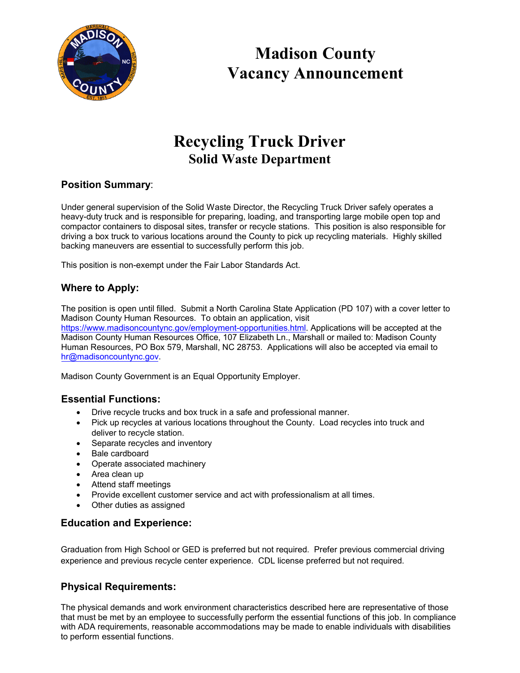

**Madison County Vacancy Announcement**

# **Recycling Truck Driver Solid Waste Department**

## **Position Summary**:

Under general supervision of the Solid Waste Director, the Recycling Truck Driver safely operates a heavy-duty truck and is responsible for preparing, loading, and transporting large mobile open top and compactor containers to disposal sites, transfer or recycle stations. This position is also responsible for driving a box truck to various locations around the County to pick up recycling materials. Highly skilled backing maneuvers are essential to successfully perform this job.

This position is non-exempt under the Fair Labor Standards Act.

## **Where to Apply:**

The position is open until filled. Submit a North Carolina State Application (PD 107) with a cover letter to [Madison County Human Resources. To obtain an application, visit](https://www.madisoncountync.gov/employment-opportunities.html)

https://www.madisoncountync.gov/employment-opportunities.html. Applications will be accepted at the Madison County Human Resources Office, 107 Elizabeth Ln., Marshall or mailed to: Madison County [Human Resources, PO Bo](mailto:hr@madisoncountync.gov)x 579, Marshall, NC 28753. Applications will also be accepted via email to hr@madisoncountync.gov.

Madison County Government is an Equal Opportunity Employer.

## **Essential Functions:**

- Drive recycle trucks and box truck in a safe and professional manner.
- Pick up recycles at various locations throughout the County. Load recycles into truck and deliver to recycle station.
- Separate recycles and inventory
- Bale cardboard
- Operate associated machinery
- Area clean up
- Attend staff meetings
- Provide excellent customer service and act with professionalism at all times.
- Other duties as assigned

#### **Education and Experience:**

Graduation from High School or GED is preferred but not required. Prefer previous commercial driving experience and previous recycle center experience. CDL license preferred but not required.

## **Physical Requirements:**

The physical demands and work environment characteristics described here are representative of those that must be met by an employee to successfully perform the essential functions of this job. In compliance with ADA requirements, reasonable accommodations may be made to enable individuals with disabilities to perform essential functions.